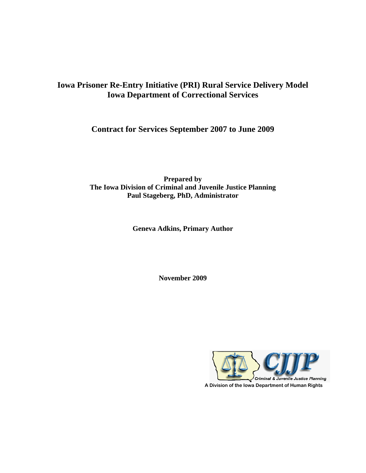# **Iowa Prisoner Re-Entry Initiative (PRI) Rural Service Delivery Model Iowa Department of Correctional Services**

**Contract for Services September 2007 to June 2009** 

**Prepared by The Iowa Division of Criminal and Juvenile Justice Planning Paul Stageberg, PhD, Administrator** 

**Geneva Adkins, Primary Author** 

**November 2009** 

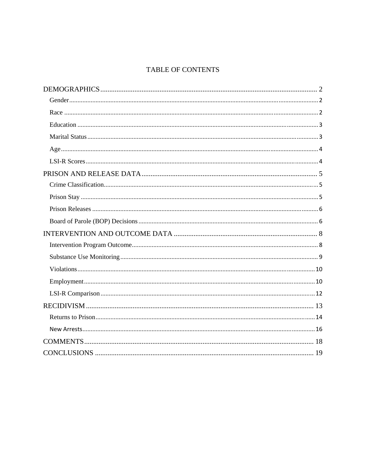# **TABLE OF CONTENTS**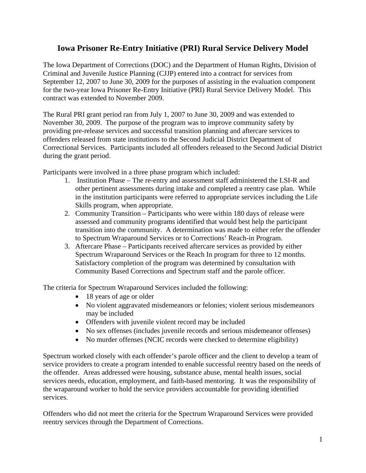# **Iowa Prisoner Re-Entry Initiative (PRI) Rural Service Delivery Model**

The Iowa Department of Corrections (DOC) and the Department of Human Rights, Division of Criminal and Juvenile Justice Planning (CJJP) entered into a contract for services from September 12, 2007 to June 30, 2009 for the purposes of assisting in the evaluation component for the two-year Iowa Prisoner Re-Entry Initiative (PRI) Rural Service Delivery Model. This contract was extended to November 2009.

The Rural PRI grant period ran from July 1, 2007 to June 30, 2009 and was extended to November 30, 2009. The purpose of the program was to improve community safety by providing pre-release services and successful transition planning and aftercare services to offenders released from state institutions to the Second Judicial District Department of Correctional Services. Participants included all offenders released to the Second Judicial District during the grant period.

Participants were involved in a three phase program which included:

- 1. Institution Phase The re-entry and assessment staff administered the LSI-R and other pertinent assessments during intake and completed a reentry case plan. While in the institution participants were referred to appropriate services including the Life Skills program, when appropriate.
- 2. Community Transition Participants who were within 180 days of release were assessed and community programs identified that would best help the participant transition into the community. A determination was made to either refer the offender to Spectrum Wraparound Services or to Corrections' Reach-in Program.
- 3. Aftercare Phase Participants received aftercare services as provided by either Spectrum Wraparound Services or the Reach In program for three to 12 months. Satisfactory completion of the program was determined by consultation with Community Based Corrections and Spectrum staff and the parole officer.

The criteria for Spectrum Wraparound Services included the following:

- 18 years of age or older
- No violent aggravated misdemeanors or felonies; violent serious misdemeanors may be included
- Offenders with juvenile violent record may be included
- No sex offenses (includes juvenile records and serious misdemeanor offenses)
- No murder offenses (NCIC records were checked to determine eligibility)

Spectrum worked closely with each offender's parole officer and the client to develop a team of service providers to create a program intended to enable successful reentry based on the needs of the offender. Areas addressed were housing, substance abuse, mental health issues, social services needs, education, employment, and faith-based mentoring. It was the responsibility of the wraparound worker to hold the service providers accountable for providing identified services.

Offenders who did not meet the criteria for the Spectrum Wraparound Services were provided reentry services through the Department of Corrections.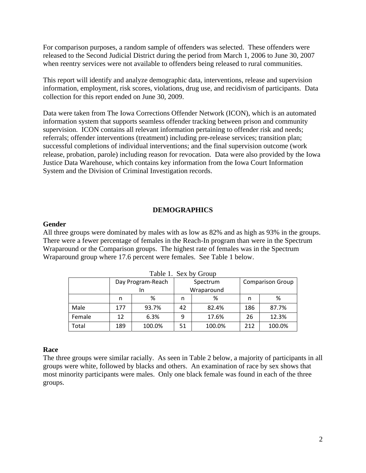For comparison purposes, a random sample of offenders was selected. These offenders were released to the Second Judicial District during the period from March 1, 2006 to June 30, 2007 when reentry services were not available to offenders being released to rural communities.

This report will identify and analyze demographic data, interventions, release and supervision information, employment, risk scores, violations, drug use, and recidivism of participants. Data collection for this report ended on June 30, 2009.

Data were taken from The Iowa Corrections Offender Network (ICON), which is an automated information system that supports seamless offender tracking between prison and community supervision. ICON contains all relevant information pertaining to offender risk and needs; referrals; offender interventions (treatment) including pre-release services; transition plan; successful completions of individual interventions; and the final supervision outcome (work release, probation, parole) including reason for revocation. Data were also provided by the Iowa Justice Data Warehouse, which contains key information from the Iowa Court Information System and the Division of Criminal Investigation records.

### **DEMOGRAPHICS**

#### **Gender**

All three groups were dominated by males with as low as 82% and as high as 93% in the groups. There were a fewer percentage of females in the Reach-In program than were in the Spectrum Wraparound or the Comparison groups. The highest rate of females was in the Spectrum Wraparound group where 17.6 percent were females. See Table 1 below.

|        | Day Program-Reach |                  |    | Spectrum | <b>Comparison Group</b> |        |  |  |  |
|--------|-------------------|------------------|----|----------|-------------------------|--------|--|--|--|
|        |                   | Wraparound<br>ın |    |          |                         |        |  |  |  |
|        | n                 | %                | n  | ℅        | n                       | %      |  |  |  |
| Male   | 177               | 93.7%            | 42 | 82.4%    | 186                     | 87.7%  |  |  |  |
| Female | 12                | 6.3%             | 9  | 17.6%    | 26                      | 12.3%  |  |  |  |
| Total  | 189               | 100.0%           | 51 | 100.0%   | 212                     | 100.0% |  |  |  |

Table 1. Sex by Group

### **Race**

The three groups were similar racially. As seen in Table 2 below, a majority of participants in all groups were white, followed by blacks and others. An examination of race by sex shows that most minority participants were males. Only one black female was found in each of the three groups.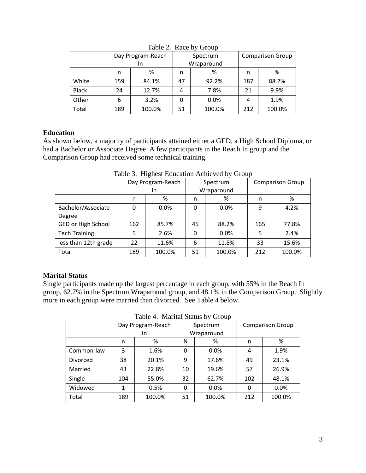|              | Day Program-Reach |        |            | Spectrum |     | <b>Comparison Group</b> |  |  |  |
|--------------|-------------------|--------|------------|----------|-----|-------------------------|--|--|--|
|              |                   | In     | Wraparound |          |     |                         |  |  |  |
|              | n                 | %      | ℅<br>n     |          | n   | %                       |  |  |  |
| White        | 159               | 84.1%  | 47         | 92.2%    | 187 | 88.2%                   |  |  |  |
| <b>Black</b> | 24                | 12.7%  | 4          | 7.8%     | 21  | 9.9%                    |  |  |  |
| Other        | 6                 | 3.2%   |            | 0.0%     | 4   | 1.9%                    |  |  |  |
| Total        | 189               | 100.0% | 51         | 100.0%   | 212 | 100.0%                  |  |  |  |

Table 2. Race by Group

## **Education**

As shown below, a majority of participants attained either a GED, a High School Diploma, or had a Bachelor or Associate Degree A few participants in the Reach In group and the Comparison Group had received some technical training.

|                      | Day Program-Reach |        | Spectrum |            | <b>Comparison Group</b> |        |
|----------------------|-------------------|--------|----------|------------|-------------------------|--------|
|                      |                   | In.    |          | Wraparound |                         |        |
|                      | n                 | %      | n        | %          | n                       | %      |
| Bachelor/Associate   | 0                 | 0.0%   | 0        | 0.0%       | 9                       | 4.2%   |
| Degree               |                   |        |          |            |                         |        |
| GED or High School   | 162               | 85.7%  | 45       | 88.2%      | 165                     | 77.8%  |
| <b>Tech Training</b> | 5                 | 2.6%   | 0        | 0.0%       | 5                       | 2.4%   |
| less than 12th grade | 22                | 11.6%  | 6        | 11.8%      | 33                      | 15.6%  |
| Total                | 189               | 100.0% | 51       | 100.0%     | 212                     | 100.0% |

Table 3. Highest Education Achieved by Group

## **Marital Status**

Single participants made up the largest percentage in each group, with 55% in the Reach In group, 62.7% in the Spectrum Wraparound group, and 48.1% in the Comparison Group. Slightly more in each group were married than divorced. See Table 4 below.

Table 4. Marital Status by Group

| Tuble 1. Multius blutted by Stoup |                   |        |          |            |                         |        |  |  |  |
|-----------------------------------|-------------------|--------|----------|------------|-------------------------|--------|--|--|--|
|                                   | Day Program-Reach |        | Spectrum |            | <b>Comparison Group</b> |        |  |  |  |
|                                   |                   | In.    |          | Wraparound |                         |        |  |  |  |
|                                   | n                 | %      | Ν        | %          |                         | %      |  |  |  |
| Common-law                        | 3                 | 1.6%   | 0        | 0.0%       | 4                       | 1.9%   |  |  |  |
| Divorced                          | 38                | 20.1%  | 9        | 17.6%      | 49                      | 23.1%  |  |  |  |
| Married                           | 43                | 22.8%  | 10       | 19.6%      | 57                      | 26.9%  |  |  |  |
| Single                            | 104               | 55.0%  | 32       | 62.7%      | 102                     | 48.1%  |  |  |  |
| Widowed                           | 1                 | 0.5%   | 0        | 0.0%       | 0                       | 0.0%   |  |  |  |
| Total                             | 189               | 100.0% | 51       | 100.0%     | 212                     | 100.0% |  |  |  |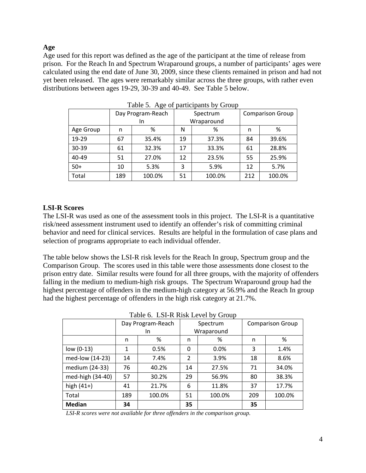## **Age**

Age used for this report was defined as the age of the participant at the time of release from prison. For the Reach In and Spectrum Wraparound groups, a number of participants' ages were calculated using the end date of June 30, 2009, since these clients remained in prison and had not yet been released. The ages were remarkably similar across the three groups, with rather even distributions between ages 19-29, 30-39 and 40-49. See Table 5 below.

|           |     | Day Program-Reach |    | Spectrum   | <b>Comparison Group</b> |        |  |
|-----------|-----|-------------------|----|------------|-------------------------|--------|--|
|           |     | In                |    | Wraparound |                         |        |  |
| Age Group | n   | %                 | N  | %          | n                       | %      |  |
| 19-29     | 67  | 35.4%             | 19 | 37.3%      | 84                      | 39.6%  |  |
| $30 - 39$ | 61  | 32.3%             | 17 | 33.3%      | 61                      | 28.8%  |  |
| $40 - 49$ | 51  | 27.0%             | 12 | 23.5%      | 55                      | 25.9%  |  |
| $50+$     | 10  | 5.3%              | 3  | 5.9%       | 12                      | 5.7%   |  |
| Total     | 189 | 100.0%            | 51 | 100.0%     | 212                     | 100.0% |  |

Table 5. Age of participants by Group

## **LSI-R Scores**

The LSI-R was used as one of the assessment tools in this project. The LSI-R is a quantitative risk/need assessment instrument used to identify an offender's risk of committing criminal behavior and need for clinical services. Results are helpful in the formulation of case plans and selection of programs appropriate to each individual offender.

The table below shows the LSI-R risk levels for the Reach In group, Spectrum group and the Comparison Group. The scores used in this table were those assessments done closest to the prison entry date. Similar results were found for all three groups, with the majority of offenders falling in the medium to medium-high risk groups. The Spectrum Wraparound group had the highest percentage of offenders in the medium-high category at 56.9% and the Reach In group had the highest percentage of offenders in the high risk category at 21.7%.

| Table 0. Lot is issued by Stoup |              |                   |                |            |     |                         |  |  |
|---------------------------------|--------------|-------------------|----------------|------------|-----|-------------------------|--|--|
|                                 |              | Day Program-Reach |                | Spectrum   |     | <b>Comparison Group</b> |  |  |
|                                 |              | In                |                | Wraparound |     |                         |  |  |
|                                 | n            | %                 | n              | %          | n   | %                       |  |  |
| low (0-13)                      | $\mathbf{1}$ | 0.5%              | 0              | 0.0%       | 3   | 1.4%                    |  |  |
| med-low (14-23)                 | 14           | 7.4%              | $\overline{2}$ | 3.9%       | 18  | 8.6%                    |  |  |
| medium (24-33)                  | 76           | 40.2%             | 14             | 27.5%      | 71  | 34.0%                   |  |  |
| med-high (34-40)                | 57           | 30.2%             | 29             | 56.9%      | 80  | 38.3%                   |  |  |
| high $(41+)$                    | 41           | 21.7%             | 6              | 11.8%      | 37  | 17.7%                   |  |  |
| Total                           | 189          | 100.0%            | 51             | 100.0%     | 209 | 100.0%                  |  |  |
| <b>Median</b>                   | 34           |                   | 35             |            | 35  |                         |  |  |

Table 6. LSLR Risk Level by Group

 *LSI-R scores were not available for three offenders in the comparison group.*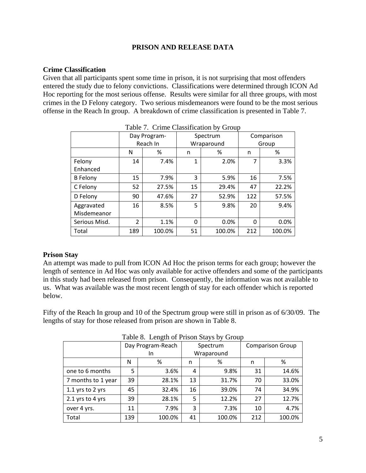## **PRISON AND RELEASE DATA**

### **Crime Classification**

Given that all participants spent some time in prison, it is not surprising that most offenders entered the study due to felony convictions. Classifications were determined through ICON Ad Hoc reporting for the most serious offense. Results were similar for all three groups, with most crimes in the D Felony category. Two serious misdemeanors were found to be the most serious offense in the Reach In group. A breakdown of crime classification is presented in Table 7.

|                 | Day Program-   |          |    | Spectrum   | Comparison |        |
|-----------------|----------------|----------|----|------------|------------|--------|
|                 |                | Reach In |    | Wraparound | Group      |        |
|                 | N              | %        | n  | %          | n          | %      |
| Felony          | 14             | 7.4%     | 1  | 2.0%       |            | 3.3%   |
| Enhanced        |                |          |    |            |            |        |
| <b>B</b> Felony | 15             | 7.9%     | 3  | 5.9%       | 16         | 7.5%   |
| C Felony        | 52             | 27.5%    | 15 | 29.4%      | 47         | 22.2%  |
| D Felony        | 90             | 47.6%    | 27 | 52.9%      | 122        | 57.5%  |
| Aggravated      | 16             | 8.5%     | 5  | 9.8%       | 20         | 9.4%   |
| Misdemeanor     |                |          |    |            |            |        |
| Serious Misd.   | $\overline{2}$ | 1.1%     | 0  | 0.0%       | 0          | 0.0%   |
| Total           | 189            | 100.0%   | 51 | 100.0%     | 212        | 100.0% |

## **Prison Stay**

An attempt was made to pull from ICON Ad Hoc the prison terms for each group; however the length of sentence in Ad Hoc was only available for active offenders and some of the participants in this study had been released from prison. Consequently, the information was not available to us. What was available was the most recent length of stay for each offender which is reported below.

Fifty of the Reach In group and 10 of the Spectrum group were still in prison as of 6/30/09. The lengths of stay for those released from prison are shown in Table 8.

| Table 8. Length of Prison Stays by Group |     |                   |    |            |     |                         |  |  |
|------------------------------------------|-----|-------------------|----|------------|-----|-------------------------|--|--|
|                                          |     | Day Program-Reach |    | Spectrum   |     | <b>Comparison Group</b> |  |  |
|                                          | In. |                   |    | Wraparound |     |                         |  |  |
|                                          | N   | %                 | n  | %          | n   | %                       |  |  |
| one to 6 months                          | 5   | 3.6%              | 4  | 9.8%       | 31  | 14.6%                   |  |  |
| 7 months to 1 year                       | 39  | 28.1%             | 13 | 31.7%      | 70  | 33.0%                   |  |  |
| 1.1 yrs to 2 yrs                         | 45  | 32.4%             | 16 | 39.0%      | 74  | 34.9%                   |  |  |
| 2.1 yrs to 4 yrs                         | 39  | 28.1%             | 5  | 12.2%      | 27  | 12.7%                   |  |  |
| over 4 yrs.                              | 11  | 7.9%              | 3  | 7.3%       | 10  | 4.7%                    |  |  |
| Total                                    | 139 | 100.0%            | 41 | 100.0%     | 212 | 100.0%                  |  |  |

 $T_{\text{c}}$  1.1.  $\Omega$   $\overline{\text{L}}$  can the f $\overline{\text{D}}$  stays  $\overline{\text{C}}$  to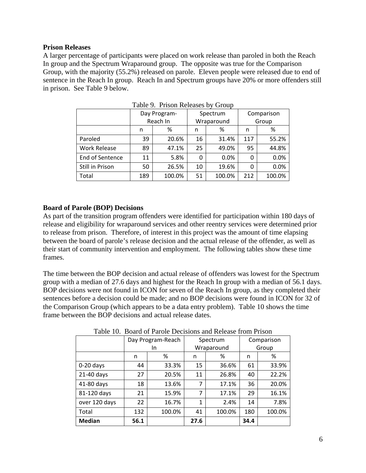### **Prison Releases**

A larger percentage of participants were placed on work release than paroled in both the Reach In group and the Spectrum Wraparound group. The opposite was true for the Comparison Group, with the majority (55.2%) released on parole. Eleven people were released due to end of sentence in the Reach In group. Reach In and Spectrum groups have 20% or more offenders still in prison. See Table 9 below.

|                     | Day Program- |          | Spectrum   |        | Comparison |        |
|---------------------|--------------|----------|------------|--------|------------|--------|
|                     |              | Reach In | Wraparound |        | Group      |        |
|                     | n            | %        | n          | %      | n          | %      |
| Paroled             | 39           | 20.6%    | 16         | 31.4%  | 117        | 55.2%  |
| <b>Work Release</b> | 89           | 47.1%    | 25         | 49.0%  | 95         | 44.8%  |
| End of Sentence     | 11           | 5.8%     | 0          | 0.0%   | 0          | 0.0%   |
| Still in Prison     | 50           | 26.5%    | 10         | 19.6%  | 0          | 0.0%   |
| Total               | 189          | 100.0%   | 51         | 100.0% | 212        | 100.0% |

Table 9. Prison Releases by Group

### **Board of Parole (BOP) Decisions**

As part of the transition program offenders were identified for participation within 180 days of release and eligibility for wraparound services and other reentry services were determined prior to release from prison. Therefore, of interest in this project was the amount of time elapsing between the board of parole's release decision and the actual release of the offender, as well as their start of community intervention and employment. The following tables show these time frames.

The time between the BOP decision and actual release of offenders was lowest for the Spectrum group with a median of 27.6 days and highest for the Reach In group with a median of 56.1 days. BOP decisions were not found in ICON for seven of the Reach In group, as they completed their sentences before a decision could be made; and no BOP decisions were found in ICON for 32 of the Comparison Group (which appears to be a data entry problem). Table 10 shows the time frame between the BOP decisions and actual release dates.

|               | Day Program-Reach |        | Spectrum |            | Comparison |        |  |  |
|---------------|-------------------|--------|----------|------------|------------|--------|--|--|
|               |                   | In.    |          | Wraparound |            | Group  |  |  |
|               | n                 | %      | n        | ℅          | n          | %      |  |  |
| $0-20$ days   | 44                | 33.3%  | 15       | 36.6%      | 61         | 33.9%  |  |  |
| 21-40 days    | 27                | 20.5%  | 11       | 26.8%      | 40         | 22.2%  |  |  |
| 41-80 days    | 18                | 13.6%  | 7        | 17.1%      | 36         | 20.0%  |  |  |
| 81-120 days   | 21                | 15.9%  | 7        | 17.1%      | 29         | 16.1%  |  |  |
| over 120 days | 22                | 16.7%  | 1        | 2.4%       | 14         | 7.8%   |  |  |
| Total         | 132               | 100.0% | 41       | 100.0%     | 180        | 100.0% |  |  |
| <b>Median</b> | 56.1              |        | 27.6     |            | 34.4       |        |  |  |

Table 10. Board of Parole Decisions and Release from Prison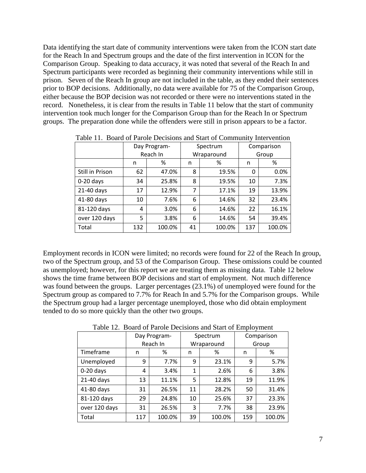Data identifying the start date of community interventions were taken from the ICON start date for the Reach In and Spectrum groups and the date of the first intervention in ICON for the Comparison Group. Speaking to data accuracy, it was noted that several of the Reach In and Spectrum participants were recorded as beginning their community interventions while still in prison. Seven of the Reach In group are not included in the table, as they ended their sentences prior to BOP decisions. Additionally, no data were available for 75 of the Comparison Group, either because the BOP decision was not recorded or there were no interventions stated in the record. Nonetheless, it is clear from the results in Table 11 below that the start of community intervention took much longer for the Comparison Group than for the Reach In or Spectrum groups. The preparation done while the offenders were still in prison appears to be a factor.

|                 |     | Day Program- | Spectrum |            | Comparison |        |  |
|-----------------|-----|--------------|----------|------------|------------|--------|--|
|                 |     | Reach In     |          | Wraparound | Group      |        |  |
|                 | n   | %            | n        | %          | n          | %      |  |
| Still in Prison | 62  | 47.0%        | 8        | 19.5%      | 0          | 0.0%   |  |
| $0-20$ days     | 34  | 25.8%        | 8        | 19.5%      | 10         | 7.3%   |  |
| 21-40 days      | 17  | 12.9%        | 7        | 17.1%      | 19         | 13.9%  |  |
| 41-80 days      | 10  | 7.6%         | 6        | 14.6%      | 32         | 23.4%  |  |
| 81-120 days     | 4   | 3.0%         | 6        | 14.6%      | 22         | 16.1%  |  |
| over 120 days   | 5   | 3.8%         | 6        | 14.6%      | 54         | 39.4%  |  |
| Total           | 132 | 100.0%       | 41       | 100.0%     | 137        | 100.0% |  |

Table 11. Board of Parole Decisions and Start of Community Intervention

Employment records in ICON were limited; no records were found for 22 of the Reach In group, two of the Spectrum group, and 53 of the Comparison Group. These omissions could be counted as unemployed; however, for this report we are treating them as missing data. Table 12 below shows the time frame between BOP decisions and start of employment. Not much difference was found between the groups. Larger percentages (23.1%) of unemployed were found for the Spectrum group as compared to 7.7% for Reach In and 5.7% for the Comparison groups. While the Spectrum group had a larger percentage unemployed, those who did obtain employment tended to do so more quickly than the other two groups.

|               | Day Program- |          |              | Spectrum   | Comparison |        |  |
|---------------|--------------|----------|--------------|------------|------------|--------|--|
|               |              | Reach In |              | Wraparound | Group      |        |  |
| Timeframe     | n            | %        | n            | ℅          | n          | %      |  |
| Unemployed    | 9            | 7.7%     | 9            | 23.1%      | 9          | 5.7%   |  |
| $0-20$ days   | 4            | 3.4%     | $\mathbf{1}$ | 2.6%       | 6          | 3.8%   |  |
| 21-40 days    | 13           | 11.1%    | 5            | 12.8%      | 19         | 11.9%  |  |
| 41-80 days    | 31           | 26.5%    | 11           | 28.2%      | 50         | 31.4%  |  |
| 81-120 days   | 29           | 24.8%    | 10           | 25.6%      | 37         | 23.3%  |  |
| over 120 days | 31           | 26.5%    | 3            | 7.7%       | 38         | 23.9%  |  |
| Total         | 117          | 100.0%   | 39           | 100.0%     | 159        | 100.0% |  |

Table 12. Board of Parole Decisions and Start of Employment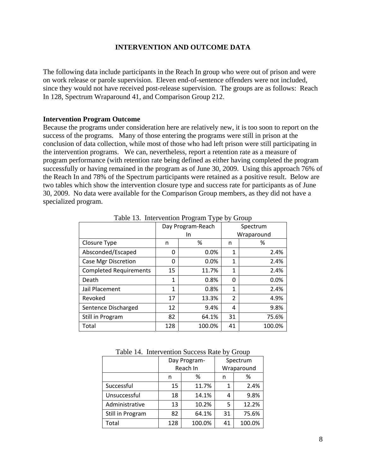### **INTERVENTION AND OUTCOME DATA**

The following data include participants in the Reach In group who were out of prison and were on work release or parole supervision. Eleven end-of-sentence offenders were not included, since they would not have received post-release supervision. The groups are as follows: Reach In 128, Spectrum Wraparound 41, and Comparison Group 212.

#### **Intervention Program Outcome**

Because the programs under consideration here are relatively new, it is too soon to report on the success of the programs. Many of those entering the programs were still in prison at the conclusion of data collection, while most of those who had left prison were still participating in the intervention programs. We can, nevertheless, report a retention rate as a measure of program performance (with retention rate being defined as either having completed the program successfully or having remained in the program as of June 30, 2009. Using this approach 76% of the Reach In and 78% of the Spectrum participants were retained as a positive result. Below are two tables which show the intervention closure type and success rate for participants as of June 30, 2009. No data were available for the Comparison Group members, as they did not have a specialized program.

|                               |     | Day Program-Reach | Spectrum |            |  |
|-------------------------------|-----|-------------------|----------|------------|--|
|                               |     |                   |          |            |  |
|                               |     | In.               |          | Wraparound |  |
| Closure Type                  | n   | %                 | n        | %          |  |
| Absconded/Escaped             | 0   | 0.0%              | 1        | 2.4%       |  |
| Case Mgr Discretion           | 0   | 0.0%              | 1        | 2.4%       |  |
| <b>Completed Requirements</b> | 15  | 11.7%             | 1        | 2.4%       |  |
| Death                         | 1   | 0.8%              | 0        | 0.0%       |  |
| Jail Placement                | 1   | 0.8%              | 1        | 2.4%       |  |
| Revoked                       | 17  | 13.3%             | 2        | 4.9%       |  |
| Sentence Discharged           | 12  | 9.4%              | 4        | 9.8%       |  |
| Still in Program              | 82  | 64.1%             | 31       | 75.6%      |  |
| Total                         | 128 | 100.0%            | 41       | 100.0%     |  |

Table 13. Intervention Program Type by Group

| Table 14. Intervention Success Rate by Group |  |  |  |
|----------------------------------------------|--|--|--|
|                                              |  |  |  |

| $\ldots$<br>ີີ   |             |              |          |            |  |  |  |  |  |
|------------------|-------------|--------------|----------|------------|--|--|--|--|--|
|                  |             | Day Program- | Spectrum |            |  |  |  |  |  |
|                  |             | Reach In     |          | Wraparound |  |  |  |  |  |
|                  | %<br>n      |              | n        | %          |  |  |  |  |  |
| Successful       | 15          | 11.7%        | 1        | 2.4%       |  |  |  |  |  |
| Unsuccessful     | 14.1%<br>18 |              | 4        | 9.8%       |  |  |  |  |  |
| Administrative   | 13          | 10.2%        | 5        | 12.2%      |  |  |  |  |  |
| Still in Program | 64.1%<br>82 |              | 31       | 75.6%      |  |  |  |  |  |
| Total            | 128         | 100.0%       | 41       | 100.0%     |  |  |  |  |  |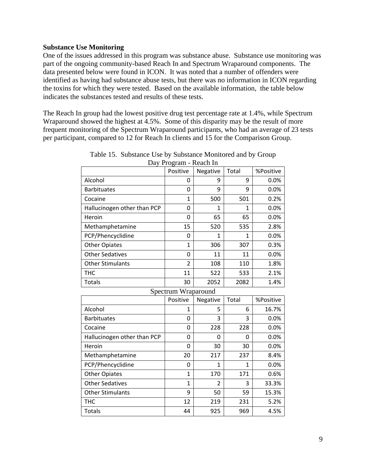#### **Substance Use Monitoring**

One of the issues addressed in this program was substance abuse. Substance use monitoring was part of the ongoing community-based Reach In and Spectrum Wraparound components. The data presented below were found in ICON. It was noted that a number of offenders were identified as having had substance abuse tests, but there was no information in ICON regarding the toxins for which they were tested. Based on the available information, the table below indicates the substances tested and results of these tests.

The Reach In group had the lowest positive drug test percentage rate at 1.4%, while Spectrum Wraparound showed the highest at 4.5%. Some of this disparity may be the result of more frequent monitoring of the Spectrum Wraparound participants, who had an average of 23 tests per participant, compared to 12 for Reach In clients and 15 for the Comparison Group.

| Day I Toğram - Kuavn in     |                     |          |       |           |  |  |  |  |
|-----------------------------|---------------------|----------|-------|-----------|--|--|--|--|
|                             | Positive            | Negative | Total | %Positive |  |  |  |  |
| Alcohol                     | 0                   | 9        | 9     | 0.0%      |  |  |  |  |
| <b>Barbituates</b>          | 0                   | 9        | 9     | 0.0%      |  |  |  |  |
| Cocaine                     | $\mathbf{1}$        | 500      | 501   | 0.2%      |  |  |  |  |
| Hallucinogen other than PCP | 0                   | 1        | 1     | 0.0%      |  |  |  |  |
| Heroin                      | 0                   | 65       | 65    | 0.0%      |  |  |  |  |
| Methamphetamine             | 15                  | 520      | 535   | 2.8%      |  |  |  |  |
| PCP/Phencyclidine           | 0                   | 1        | 1     | 0.0%      |  |  |  |  |
| <b>Other Opiates</b>        | 1                   | 306      | 307   | 0.3%      |  |  |  |  |
| <b>Other Sedatives</b>      | 0                   | 11       | 11    | 0.0%      |  |  |  |  |
| <b>Other Stimulants</b>     | 2                   | 108      | 110   | 1.8%      |  |  |  |  |
| тнс                         | 11                  | 522      | 533   | 2.1%      |  |  |  |  |
| Totals                      | 30                  | 2052     | 2082  | 1.4%      |  |  |  |  |
|                             | Spectrum Wraparound |          |       |           |  |  |  |  |
|                             | Positive            | Negative | Total | %Positive |  |  |  |  |
| Alcohol                     | 1                   | 5        | 6     | 16.7%     |  |  |  |  |

Table 15. Substance Use by Substance Monitored and by Group Day Program - Reach In

|                             | Spectrum wraparound<br>Positive | Negative | Total | %Positive |
|-----------------------------|---------------------------------|----------|-------|-----------|
| Alcohol                     | 1                               | 5        | 6     | 16.7%     |
| <b>Barbituates</b>          | 0                               | 3        | 3     | 0.0%      |
| Cocaine                     | 0                               | 228      | 228   | 0.0%      |
| Hallucinogen other than PCP | 0                               | 0        | 0     | 0.0%      |
| Heroin                      | 0                               | 30       | 30    | 0.0%      |
| Methamphetamine             | 20                              | 217      | 237   | 8.4%      |
| PCP/Phencyclidine           | 0                               | 1        | 1     | 0.0%      |
| <b>Other Opiates</b>        | 1                               | 170      | 171   | 0.6%      |
| <b>Other Sedatives</b>      | 1                               | 2        | 3     | 33.3%     |
| <b>Other Stimulants</b>     | 9                               | 50       | 59    | 15.3%     |
| THC                         | 12                              | 219      | 231   | 5.2%      |
| Totals                      | 44                              | 925      | 969   | 4.5%      |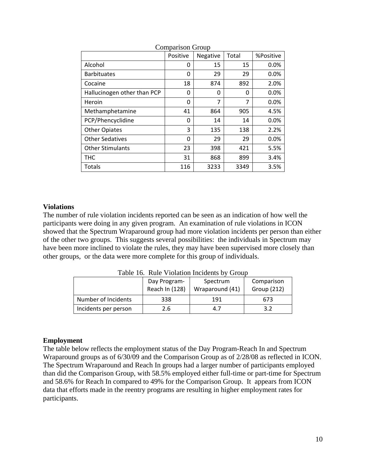|                             | Positive | Negative | Total | %Positive |
|-----------------------------|----------|----------|-------|-----------|
| Alcohol                     | 0        | 15       | 15    | 0.0%      |
| <b>Barbituates</b>          | 0        | 29       | 29    | 0.0%      |
| Cocaine                     | 18       | 874      | 892   | 2.0%      |
| Hallucinogen other than PCP | 0        | 0        | 0     | 0.0%      |
| Heroin                      | 0        | 7        | 7     | 0.0%      |
| Methamphetamine             | 41       | 864      | 905   | 4.5%      |
| PCP/Phencyclidine           | 0        | 14       | 14    | 0.0%      |
| <b>Other Opiates</b>        | 3        | 135      | 138   | 2.2%      |
| <b>Other Sedatives</b>      | 0        | 29       | 29    | 0.0%      |
| <b>Other Stimulants</b>     | 23       | 398      | 421   | 5.5%      |
| <b>THC</b>                  | 31       | 868      | 899   | 3.4%      |
| <b>Totals</b>               | 116      | 3233     | 3349  | 3.5%      |

#### Comparison Group

#### **Violations**

The number of rule violation incidents reported can be seen as an indication of how well the participants were doing in any given program. An examination of rule violations in ICON showed that the Spectrum Wraparound group had more violation incidents per person than either of the other two groups. This suggests several possibilities: the individuals in Spectrum may have been more inclined to violate the rules, they may have been supervised more closely than other groups, or the data were more complete for this group of individuals.

|                      | Day Program-<br>Reach In (128) | Spectrum<br>Wraparound (41) | Comparison<br>Group (212) |  |  |  |  |  |
|----------------------|--------------------------------|-----------------------------|---------------------------|--|--|--|--|--|
| Number of Incidents  | 338                            | 191                         | 673                       |  |  |  |  |  |
| Incidents per person | 2.6                            | 4.7                         | 3.2                       |  |  |  |  |  |

Table 16. Rule Violation Incidents by Group

#### **Employment**

The table below reflects the employment status of the Day Program-Reach In and Spectrum Wraparound groups as of 6/30/09 and the Comparison Group as of 2/28/08 as reflected in ICON. The Spectrum Wraparound and Reach In groups had a larger number of participants employed than did the Comparison Group, with 58.5% employed either full-time or part-time for Spectrum and 58.6% for Reach In compared to 49% for the Comparison Group. It appears from ICON data that efforts made in the reentry programs are resulting in higher employment rates for participants.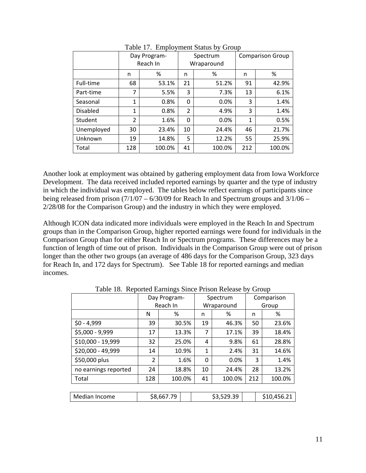|                 |                | Day Program-<br>Reach In | Spectrum<br>Wraparound |        | <b>Comparison Group</b> |        |
|-----------------|----------------|--------------------------|------------------------|--------|-------------------------|--------|
|                 | n              | %                        | n                      | %      | n                       | %      |
| Full-time       | 68             | 53.1%                    | 21                     | 51.2%  | 91                      | 42.9%  |
| Part-time       | 7              | 5.5%                     | 3                      | 7.3%   | 13                      | 6.1%   |
| Seasonal        | $\mathbf{1}$   | 0.8%                     | 0                      | 0.0%   | 3                       | 1.4%   |
| <b>Disabled</b> | 1              | 0.8%                     | $\overline{2}$         | 4.9%   | 3                       | 1.4%   |
| Student         | $\overline{2}$ | 1.6%                     | $\Omega$               | 0.0%   | 1                       | 0.5%   |
| Unemployed      | 30             | 23.4%                    | 10                     | 24.4%  | 46                      | 21.7%  |
| Unknown         | 19             | 14.8%                    | 5                      | 12.2%  | 55                      | 25.9%  |
| Total           | 128            | 100.0%                   | 41                     | 100.0% | 212                     | 100.0% |

Table 17. Employment Status by Group

Another look at employment was obtained by gathering employment data from Iowa Workforce Development. The data received included reported earnings by quarter and the type of industry in which the individual was employed. The tables below reflect earnings of participants since being released from prison  $(7/1/07 - 6/30/09)$  for Reach In and Spectrum groups and  $3/1/06 -$ 2/28/08 for the Comparison Group) and the industry in which they were employed.

Although ICON data indicated more individuals were employed in the Reach In and Spectrum groups than in the Comparison Group, higher reported earnings were found for individuals in the Comparison Group than for either Reach In or Spectrum programs. These differences may be a function of length of time out of prison. Individuals in the Comparison Group were out of prison longer than the other two groups (an average of 486 days for the Comparison Group, 323 days for Reach In, and 172 days for Spectrum). See Table 18 for reported earnings and median incomes.

| ີ່"ິ                 |                |            |       |              |            |     |             |  |  |
|----------------------|----------------|------------|-------|--------------|------------|-----|-------------|--|--|
|                      | Day Program-   |            |       |              | Spectrum   |     | Comparison  |  |  |
|                      |                | Reach In   |       |              | Wraparound |     | Group       |  |  |
|                      | N              | %          |       | n            | ℅          | n   | %           |  |  |
| $$0 - 4,999$         | 39             |            | 30.5% | 19           | 46.3%      | 50  | 23.6%       |  |  |
| \$5,000 - 9,999      | 17             |            | 13.3% | 7            | 17.1%      | 39  | 18.4%       |  |  |
| \$10,000 - 19,999    | 32             | 25.0%      |       | 4            | 9.8%       | 61  | 28.8%       |  |  |
| \$20,000 - 49,999    | 14             |            | 10.9% | $\mathbf{1}$ | 2.4%       | 31  | 14.6%       |  |  |
| \$50,000 plus        | $\overline{2}$ |            | 1.6%  | 0            | 0.0%       | 3   | 1.4%        |  |  |
| no earnings reported | 24             |            | 18.8% | 10           | 24.4%      | 28  | 13.2%       |  |  |
| Total                | 128            | 100.0%     |       | 41           | 100.0%     | 212 | 100.0%      |  |  |
|                      |                |            |       |              |            |     |             |  |  |
| Median Income        |                | \$8,667.79 |       |              | \$3,529.39 |     | \$10,456.21 |  |  |

Table 18. Reported Earnings Since Prison Release by Group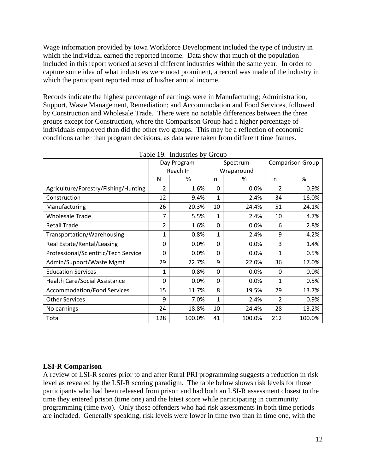Wage information provided by Iowa Workforce Development included the type of industry in which the individual earned the reported income. Data show that much of the population included in this report worked at several different industries within the same year. In order to capture some idea of what industries were most prominent, a record was made of the industry in which the participant reported most of his/her annual income.

Records indicate the highest percentage of earnings were in Manufacturing; Administration, Support, Waste Management, Remediation; and Accommodation and Food Services, followed by Construction and Wholesale Trade. There were no notable differences between the three groups except for Construction, where the Comparison Group had a higher percentage of individuals employed than did the other two groups. This may be a reflection of economic conditions rather than program decisions, as data were taken from different time frames.

|                                      |              | Day Program- | Spectrum     |        | <b>Comparison Group</b> |        |
|--------------------------------------|--------------|--------------|--------------|--------|-------------------------|--------|
|                                      |              | Reach In     | Wraparound   |        |                         |        |
|                                      | N            | %            | n            | %      | n                       | %      |
| Agriculture/Forestry/Fishing/Hunting | 2            | 1.6%         | $\Omega$     | 0.0%   | 2                       | 0.9%   |
| Construction                         | 12           | 9.4%         | $\mathbf{1}$ | 2.4%   | 34                      | 16.0%  |
| Manufacturing                        | 26           | 20.3%        | 10           | 24.4%  | 51                      | 24.1%  |
| <b>Wholesale Trade</b>               | 7            | 5.5%         | $\mathbf{1}$ | 2.4%   | 10                      | 4.7%   |
| <b>Retail Trade</b>                  | 2            | 1.6%         | $\Omega$     | 0.0%   | 6                       | 2.8%   |
| Transportation/Warehousing           | $\mathbf{1}$ | 0.8%         | $\mathbf{1}$ | 2.4%   | 9                       | 4.2%   |
| Real Estate/Rental/Leasing           | 0            | 0.0%         | $\Omega$     | 0.0%   | 3                       | 1.4%   |
| Professional/Scientific/Tech Service | 0            | 0.0%         | $\Omega$     | 0.0%   | 1                       | 0.5%   |
| Admin/Support/Waste Mgmt             | 29           | 22.7%        | 9            | 22.0%  | 36                      | 17.0%  |
| <b>Education Services</b>            | 1            | 0.8%         | $\Omega$     | 0.0%   | $\Omega$                | 0.0%   |
| <b>Health Care/Social Assistance</b> | $\Omega$     | 0.0%         | $\Omega$     | 0.0%   | 1                       | 0.5%   |
| <b>Accommodation/Food Services</b>   | 15           | 11.7%        | 8            | 19.5%  | 29                      | 13.7%  |
| <b>Other Services</b>                | 9            | 7.0%         | $\mathbf{1}$ | 2.4%   | $\overline{2}$          | 0.9%   |
| No earnings                          | 24           | 18.8%        | 10           | 24.4%  | 28                      | 13.2%  |
| Total                                | 128          | 100.0%       | 41           | 100.0% | 212                     | 100.0% |

Table 19. Industries by Group

## **LSI-R Comparison**

A review of LSI-R scores prior to and after Rural PRI programming suggests a reduction in risk level as revealed by the LSI-R scoring paradigm. The table below shows risk levels for those participants who had been released from prison and had both an LSI-R assessment closest to the time they entered prison (time one) and the latest score while participating in community programming (time two). Only those offenders who had risk assessments in both time periods are included. Generally speaking, risk levels were lower in time two than in time one, with the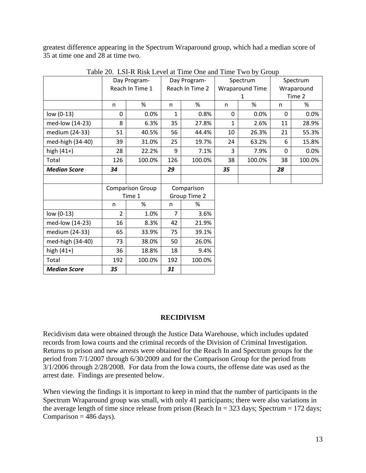greatest difference appearing in the Spectrum Wraparound group, which had a median score of 35 at time one and 28 at time two.

|                     |     | Day Program-            |                | Day Program-    |              | Spectrum               | Spectrum   |        |  |
|---------------------|-----|-------------------------|----------------|-----------------|--------------|------------------------|------------|--------|--|
|                     |     | Reach In Time 1         |                | Reach In Time 2 |              | <b>Wraparound Time</b> | Wraparound |        |  |
|                     |     |                         |                |                 |              | 1                      | Time 2     |        |  |
|                     | n   | $\%$                    | n              | %               | n            | $\%$                   | n          | %      |  |
| low $(0-13)$        | 0   | 0.0%                    | 1              | 0.8%            | $\Omega$     | 0.0%                   | 0          | 0.0%   |  |
| med-low (14-23)     | 8   | 6.3%                    | 35             | 27.8%           | $\mathbf{1}$ | 2.6%                   | 11         | 28.9%  |  |
| medium (24-33)      | 51  | 40.5%                   | 56             | 44.4%           | 10           | 26.3%                  | 21         | 55.3%  |  |
| med-high (34-40)    | 39  | 31.0%                   | 25             | 19.7%           | 24           | 63.2%                  | 6          | 15.8%  |  |
| high $(41+)$        | 28  | 22.2%                   | 9              | 7.1%            | 3            | 7.9%                   | $\Omega$   | 0.0%   |  |
| Total               | 126 | 100.0%                  | 126            | 100.0%          | 38           | 100.0%                 | 38         | 100.0% |  |
| <b>Median Score</b> | 34  |                         | 29             |                 | 35           |                        | 28         |        |  |
|                     |     |                         |                |                 |              |                        |            |        |  |
|                     |     | <b>Comparison Group</b> | Comparison     |                 |              |                        |            |        |  |
|                     |     | Time 1                  |                | Group Time 2    |              |                        |            |        |  |
|                     | n   | %                       | n              | %               |              |                        |            |        |  |
| $low (0-13)$        | 2   | 1.0%                    | $\overline{7}$ | 3.6%            |              |                        |            |        |  |
| med-low (14-23)     | 16  | 8.3%                    | 42             | 21.9%           |              |                        |            |        |  |
| medium (24-33)      | 65  | 33.9%                   | 75             | 39.1%           |              |                        |            |        |  |
| med-high (34-40)    | 73  | 38.0%                   | 50             | 26.0%           |              |                        |            |        |  |
| high $(41+)$        | 36  | 18.8%                   | 18             | 9.4%            |              |                        |            |        |  |
| Total               | 192 | 100.0%                  | 192            | 100.0%          |              |                        |            |        |  |
| <b>Median Score</b> |     |                         |                |                 |              |                        |            |        |  |

Table 20. LSI-R Risk Level at Time One and Time Two by Group

#### **RECIDIVISM**

Recidivism data were obtained through the Justice Data Warehouse, which includes updated records from Iowa courts and the criminal records of the Division of Criminal Investigation. Returns to prison and new arrests were obtained for the Reach In and Spectrum groups for the period from 7/1/2007 through 6/30/2009 and for the Comparison Group for the period from 3/1/2006 through 2/28/2008. For data from the Iowa courts, the offense date was used as the arrest date. Findings are presented below.

When viewing the findings it is important to keep in mind that the number of participants in the Spectrum Wraparound group was small, with only 41 participants; there were also variations in the average length of time since release from prison (Reach In = 323 days; Spectrum = 172 days; Comparison  $= 486$  days).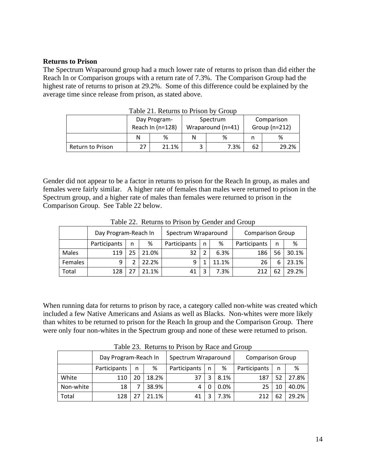#### **Returns to Prison**

The Spectrum Wraparound group had a much lower rate of returns to prison than did either the Reach In or Comparison groups with a return rate of 7.3%. The Comparison Group had the highest rate of returns to prison at 29.2%. Some of this difference could be explained by the average time since release from prison, as stated above.

| Table 21. Returns to Prison by Group |    |                  |   |                   |                               |       |  |  |  |
|--------------------------------------|----|------------------|---|-------------------|-------------------------------|-------|--|--|--|
|                                      |    | Day Program-     |   | Spectrum          | Comparison<br>Group $(n=212)$ |       |  |  |  |
|                                      |    | Reach In (n=128) |   | Wraparound (n=41) |                               |       |  |  |  |
|                                      | N  | %                |   | %                 | n                             | %     |  |  |  |
| <b>Return to Prison</b>              | 27 | 21.1%            | 3 | 7.3%              | 62                            | 29.2% |  |  |  |

Gender did not appear to be a factor in returns to prison for the Reach In group, as males and females were fairly similar. A higher rate of females than males were returned to prison in the Spectrum group, and a higher rate of males than females were returned to prison in the Comparison Group. See Table 22 below.

|         | Day Program-Reach In |    |       | Spectrum Wraparound |   |       | <b>Comparison Group</b> |    |       |
|---------|----------------------|----|-------|---------------------|---|-------|-------------------------|----|-------|
|         | Participants         | n  | %     | Participants        | n | %     | Participants            | n  | %     |
| Males   | 119                  | 25 | 21.0% | 32                  |   | 6.3%  | 186                     | 56 | 30.1% |
| Females | 9                    |    | 22.2% |                     |   | 11.1% | 26                      | 6  | 23.1% |
| Total   | 128                  |    | 21.1% | 41                  | っ | 7.3%  | 212                     |    | 29.2% |

Table 22. Returns to Prison by Gender and Group

When running data for returns to prison by race, a category called non-white was created which included a few Native Americans and Asians as well as Blacks. Non-whites were more likely than whites to be returned to prison for the Reach In group and the Comparison Group. There were only four non-whites in the Spectrum group and none of these were returned to prison.

| Twore $\equiv$ . Therefore to TTE on $\sigma$ , There and Oroup |                      |   |                     |              |   |                         |              |    |       |  |
|-----------------------------------------------------------------|----------------------|---|---------------------|--------------|---|-------------------------|--------------|----|-------|--|
|                                                                 | Day Program-Reach In |   | Spectrum Wraparound |              |   | <b>Comparison Group</b> |              |    |       |  |
|                                                                 | Participants         | n | ℅                   | Participants | n | %                       | Participants | n  | %     |  |
| White                                                           | 110                  |   | 18.2%               | 37           |   | 8.1%                    | 187          | 52 | 27.8% |  |
| Non-white                                                       | 18                   |   | 38.9%               | 4            |   | 0.0%                    | 25           | 10 | 40.0% |  |
| Total                                                           | 128                  |   | 21.1%               | 41           |   | 7.3%                    |              | 62 | 29.2% |  |

Table 23. Returns to Prison by Race and Group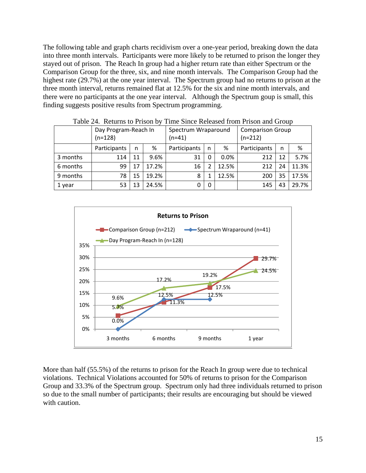The following table and graph charts recidivism over a one-year period, breaking down the data into three month intervals. Participants were more likely to be returned to prison the longer they stayed out of prison. The Reach In group had a higher return rate than either Spectrum or the Comparison Group for the three, six, and nine month intervals. The Comparison Group had the highest rate (29.7%) at the one year interval. The Spectrum group had no returns to prison at the three month interval, returns remained flat at 12.5% for the six and nine month intervals, and there were no participants at the one year interval. Although the Spectrum goup is small, this finding suggests positive results from Spectrum programming.

|          | $10010 \pm 1.1000$   |    |                     | THIR DINCE INTOXICATIONI I HOUR MIN OF OWN |          |                         |              |    |       |
|----------|----------------------|----|---------------------|--------------------------------------------|----------|-------------------------|--------------|----|-------|
|          | Day Program-Reach In |    | Spectrum Wraparound |                                            |          | <b>Comparison Group</b> |              |    |       |
|          | $(n=128)$            |    |                     | $(n=41)$                                   |          |                         | $(n=212)$    |    |       |
|          | Participants         | n  | ℅                   | Participants                               | n        | %                       | Participants | n  | %     |
| 3 months | 114                  | 11 | 9.6%                | 31                                         |          | $0.0\%$                 | 212          | 12 | 5.7%  |
| 6 months | 99                   | 17 | 17.2%               | 16                                         |          | 12.5%                   | 212          | 24 | 11.3% |
| 9 months | 78                   | 15 | 19.2%               | 8                                          |          | 12.5%                   | 200          | 35 | 17.5% |
| 1 year   | 53                   | 13 | 24.5%               | 0                                          | $\Omega$ |                         | 145          | 43 | 29.7% |

Table 24. Returns to Prison by Time Since Released from Prison and Group



More than half (55.5%) of the returns to prison for the Reach In group were due to technical violations. Technical Violations accounted for 50% of returns to prison for the Comparison Group and 33.3% of the Spectrum group. Spectrum only had three individuals returned to prison so due to the small number of participants; their results are encouraging but should be viewed with caution.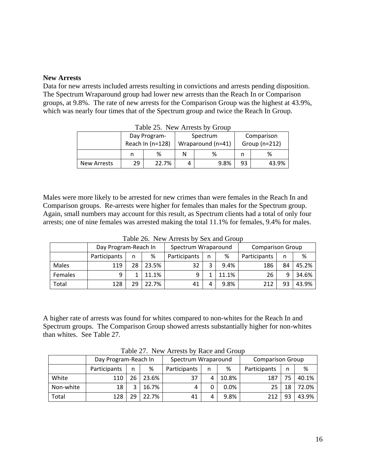#### **New Arrests**

Data for new arrests included arrests resulting in convictions and arrests pending disposition. The Spectrum Wraparound group had lower new arrests than the Reach In or Comparison groups, at 9.8%. The rate of new arrests for the Comparison Group was the highest at 43.9%, which was nearly four times that of the Spectrum group and twice the Reach In Group.

|                    | $1400C$ 29. TVCW THICS B DY OTOUP |                  |   |                   |                 |       |  |  |  |  |  |
|--------------------|-----------------------------------|------------------|---|-------------------|-----------------|-------|--|--|--|--|--|
|                    |                                   | Day Program-     |   | Spectrum          | Comparison      |       |  |  |  |  |  |
|                    |                                   | Reach In (n=128) |   | Wraparound (n=41) | Group $(n=212)$ |       |  |  |  |  |  |
|                    |                                   | ℅                | N | %                 |                 | %     |  |  |  |  |  |
| <b>New Arrests</b> | 29                                | 22.7%            | 4 | 9.8%              | 93              | 43.9% |  |  |  |  |  |

Table 25. New Arrests by Group

Males were more likely to be arrested for new crimes than were females in the Reach In and Comparison groups. Re-arrests were higher for females than males for the Spectrum group. Again, small numbers may account for this result, as Spectrum clients had a total of only four arrests; one of nine females was arrested making the total 11.1% for females, 9.4% for males.

Table 26. New Arrests by Sex and Group

|         | Day Program-Reach In |    | Spectrum Wraparound |              |   | <b>Comparison Group</b> |              |    |       |
|---------|----------------------|----|---------------------|--------------|---|-------------------------|--------------|----|-------|
|         | Participants         | n  | %                   | Participants | n | %                       | Participants | n  | %     |
| Males   | 119                  | 28 | 23.5%               | 32           |   | 9.4%                    | 186          | 84 | 45.2% |
| Females | 9                    |    | 11.1%               | q            |   | 11.1%                   | 26           | a  | 34.6% |
| Total   | 128                  | 29 | 22.7%               | 41           |   | 9.8%                    | 212          | 93 | 43.9% |

A higher rate of arrests was found for whites compared to non-whites for the Reach In and Spectrum groups. The Comparison Group showed arrests substantially higher for non-whites than whites. See Table 27.

|           | Day Program-Reach In |    |       | Spectrum Wraparound |   |       | <b>Comparison Group</b> |    |       |  |
|-----------|----------------------|----|-------|---------------------|---|-------|-------------------------|----|-------|--|
|           | Participants         | n  | %     | Participants        | n | %     | Participants            | n  | %     |  |
| White     | 110                  | 26 | 23.6% | 37                  |   | 10.8% | 187                     |    | 40.1% |  |
| Non-white | 18                   | 2  | 16.7% |                     |   | 0.0%  | 25                      | 18 | 72.0% |  |
| Total     | 128                  | 29 | 22.7% | 41                  |   | 9.8%  | 212                     | 93 | 43.9% |  |

Table 27. New Arrests by Race and Group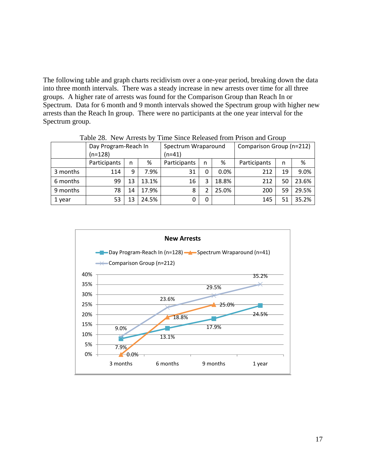The following table and graph charts recidivism over a one-year period, breaking down the data into three month intervals. There was a steady increase in new arrests over time for all three groups. A higher rate of arrests was found for the Comparison Group than Reach In or Spectrum. Data for 6 month and 9 month intervals showed the Spectrum group with higher new arrests than the Reach In group. There were no participants at the one year interval for the Spectrum group.

|          | $14016\ 20.$ Thew Allests DV<br>THIIC SHICE INCLEASED HOIH I HSOIL AND OTOUD |    |        |                     |   |         |                          |    |       |  |  |
|----------|------------------------------------------------------------------------------|----|--------|---------------------|---|---------|--------------------------|----|-------|--|--|
|          | Day Program-Reach In                                                         |    |        | Spectrum Wraparound |   |         | Comparison Group (n=212) |    |       |  |  |
|          | $(n=128)$                                                                    |    | (n=41) |                     |   |         |                          |    |       |  |  |
|          | Participants                                                                 | n  | %      | Participants        | n | %       | Participants             | n  | %     |  |  |
| 3 months | 114                                                                          | 9  | 7.9%   | 31                  | 0 | $0.0\%$ | 212                      | 19 | 9.0%  |  |  |
| 6 months | 99                                                                           | 13 | 13.1%  | 16                  | 3 | 18.8%   | 212                      | 50 | 23.6% |  |  |
| 9 months | 78                                                                           | 14 | 17.9%  | 8                   | 2 | 25.0%   | 200                      | 59 | 29.5% |  |  |
| 1 year   | 53                                                                           | 13 | 24.5%  | 0                   | 0 |         | 145                      | 51 | 35.2% |  |  |

Table 28. New Arrests by Time Since Released from Prison and Group

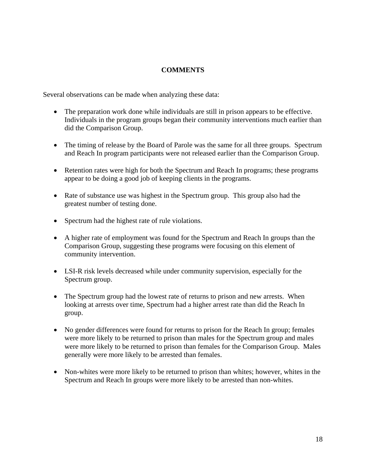## **COMMENTS**

Several observations can be made when analyzing these data:

- The preparation work done while individuals are still in prison appears to be effective. Individuals in the program groups began their community interventions much earlier than did the Comparison Group.
- The timing of release by the Board of Parole was the same for all three groups. Spectrum and Reach In program participants were not released earlier than the Comparison Group.
- Retention rates were high for both the Spectrum and Reach In programs; these programs appear to be doing a good job of keeping clients in the programs.
- Rate of substance use was highest in the Spectrum group. This group also had the greatest number of testing done.
- Spectrum had the highest rate of rule violations.
- A higher rate of employment was found for the Spectrum and Reach In groups than the Comparison Group, suggesting these programs were focusing on this element of community intervention.
- LSI-R risk levels decreased while under community supervision, especially for the Spectrum group.
- The Spectrum group had the lowest rate of returns to prison and new arrests. When looking at arrests over time, Spectrum had a higher arrest rate than did the Reach In group.
- No gender differences were found for returns to prison for the Reach In group; females were more likely to be returned to prison than males for the Spectrum group and males were more likely to be returned to prison than females for the Comparison Group. Males generally were more likely to be arrested than females.
- Non-whites were more likely to be returned to prison than whites; however, whites in the Spectrum and Reach In groups were more likely to be arrested than non-whites.